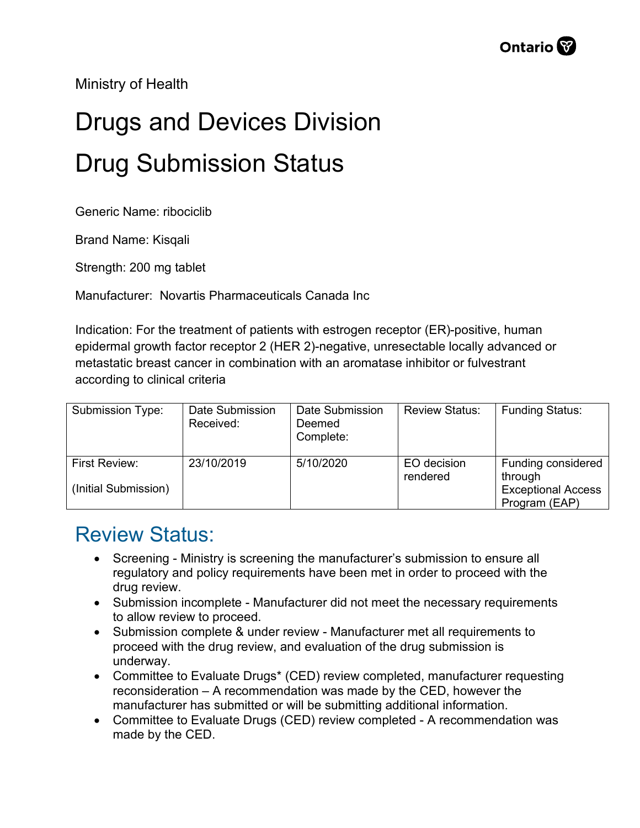Ministry of Health

## Drugs and Devices Division Drug Submission Status

Generic Name: ribociclib

Brand Name: Kisqali

Strength: 200 mg tablet

Manufacturer: Novartis Pharmaceuticals Canada Inc

Indication: For the treatment of patients with estrogen receptor (ER)-positive, human epidermal growth factor receptor 2 (HER 2)-negative, unresectable locally advanced or metastatic breast cancer in combination with an aromatase inhibitor or fulvestrant according to clinical criteria

| Submission Type:                             | Date Submission<br>Received: | Date Submission<br>Deemed<br>Complete: | <b>Review Status:</b>   | <b>Funding Status:</b>                                                      |
|----------------------------------------------|------------------------------|----------------------------------------|-------------------------|-----------------------------------------------------------------------------|
| <b>First Review:</b><br>(Initial Submission) | 23/10/2019                   | 5/10/2020                              | EO decision<br>rendered | Funding considered<br>through<br><b>Exceptional Access</b><br>Program (EAP) |

## Review Status:

- Screening Ministry is screening the manufacturer's submission to ensure all regulatory and policy requirements have been met in order to proceed with the drug review.
- Submission incomplete Manufacturer did not meet the necessary requirements to allow review to proceed.
- Submission complete & under review Manufacturer met all requirements to proceed with the drug review, and evaluation of the drug submission is underway.
- Committee to Evaluate Drugs\* (CED) review completed, manufacturer requesting reconsideration – A recommendation was made by the CED, however the manufacturer has submitted or will be submitting additional information.
- Committee to Evaluate Drugs (CED) review completed A recommendation was made by the CED.